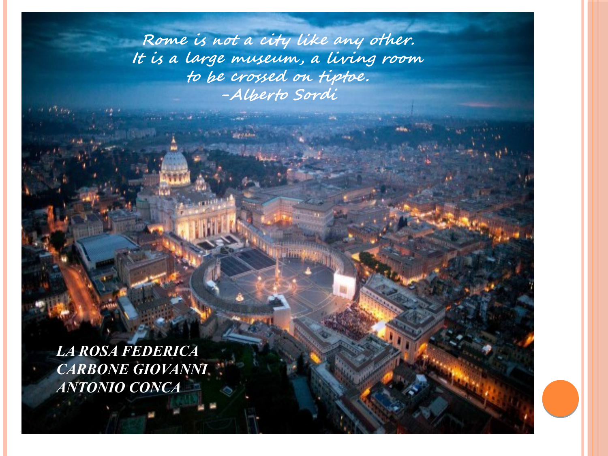**Rome is not a city like any other. It is a large museum, a living room to be crossed on tiptoe. -Alberto Sordi**

*LA ROSA FEDERICA CARBONE GIOVANNI ANTONIO CONCA*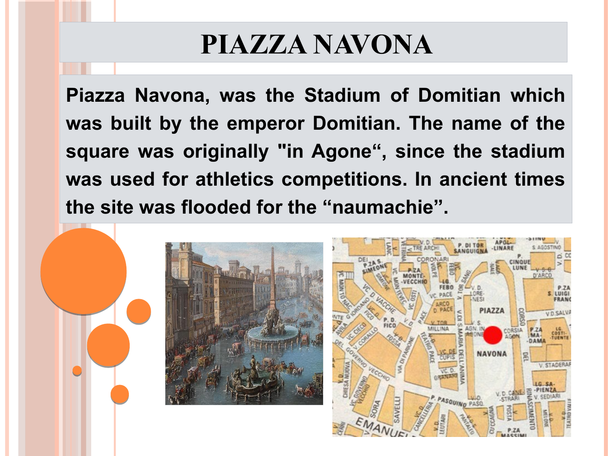## **PIAZZA NAVONA**

**Piazza Navona, was the Stadium of Domitian which was built by the emperor Domitian. The name of the square was originally "in Agone", since the stadium was used for athletics competitions. In ancient times the site was flooded for the "naumachie".**

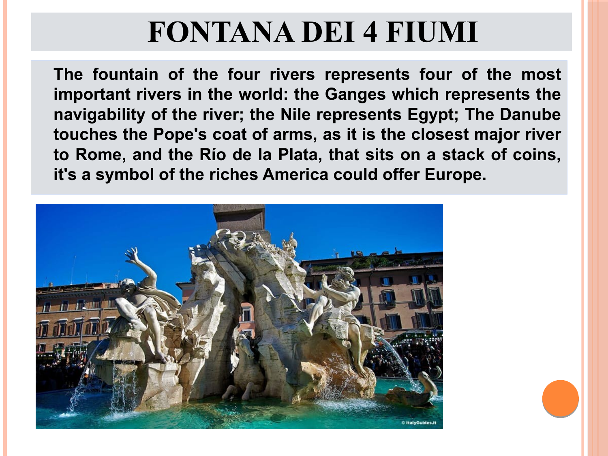## **FONTANA DEI 4 FIUMI**

**The fountain of the four rivers represents four of the most important rivers in the world: the Ganges which represents the navigability of the river; the Nile represents Egypt; The Danube touches the Pope's coat of arms, as it is the closest major river to Rome, and the Río de la Plata, that sits on a stack of coins, it's a symbol of the riches America could offer Europe.**